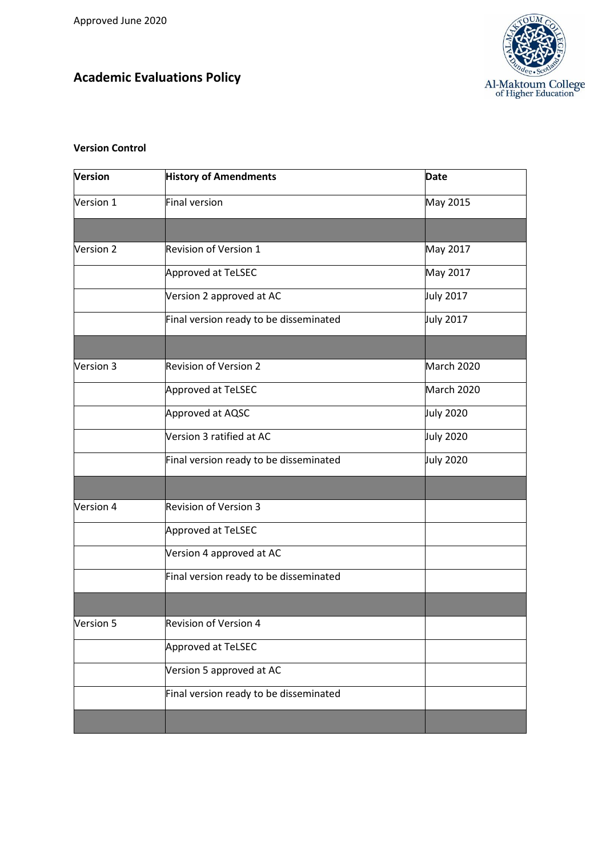## **Academic Evaluations Policy**



## **Version Control**

| Version   | <b>History of Amendments</b>           | <b>Date</b>      |
|-----------|----------------------------------------|------------------|
| Version 1 | Final version                          | May 2015         |
|           |                                        |                  |
| Version 2 | <b>Revision of Version 1</b>           | May 2017         |
|           | Approved at TeLSEC                     | May 2017         |
|           | Version 2 approved at AC               | July 2017        |
|           | Final version ready to be disseminated | July 2017        |
|           |                                        |                  |
| Version 3 | <b>Revision of Version 2</b>           | March 2020       |
|           | Approved at TeLSEC                     | March 2020       |
|           | Approved at AQSC                       | <b>July 2020</b> |
|           | Version 3 ratified at AC               | <b>July 2020</b> |
|           | Final version ready to be disseminated | <b>July 2020</b> |
|           |                                        |                  |
| Version 4 | <b>Revision of Version 3</b>           |                  |
|           | Approved at TeLSEC                     |                  |
|           | Version 4 approved at AC               |                  |
|           | Final version ready to be disseminated |                  |
|           |                                        |                  |
| Version 5 | Revision of Version 4                  |                  |
|           | Approved at TeLSEC                     |                  |
|           | Version 5 approved at AC               |                  |
|           | Final version ready to be disseminated |                  |
|           |                                        |                  |